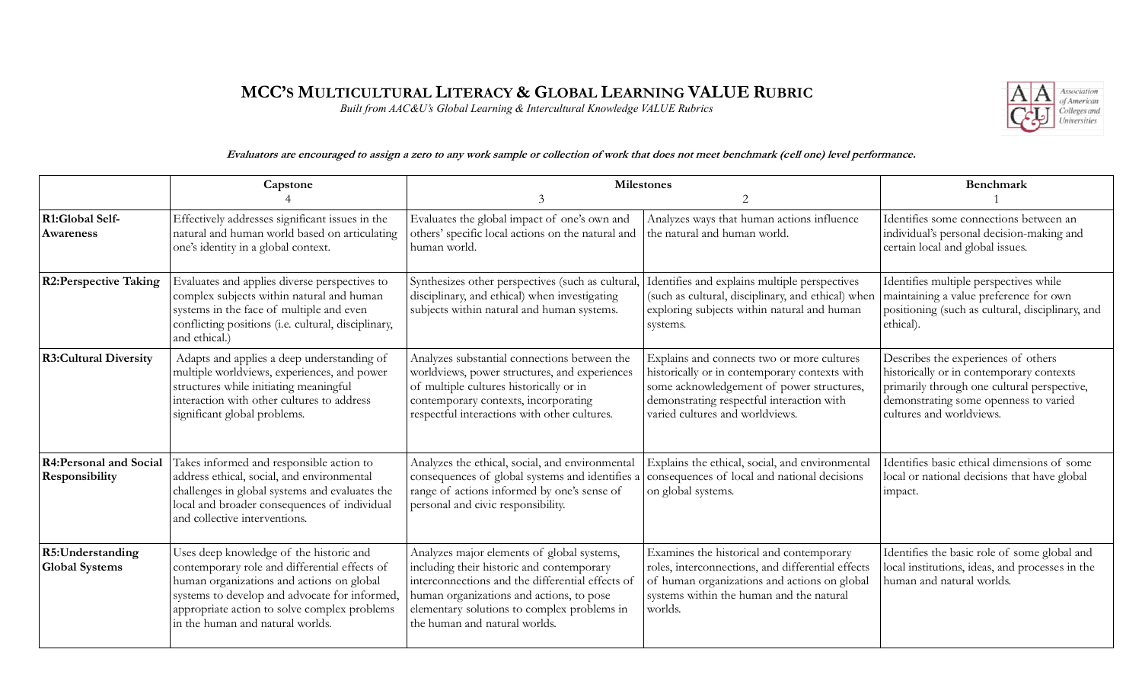## **MCC'S MULTICULTURAL LITERACY & GLOBAL LEARNING VALUE RUBRIC**

*Built from AAC&U's Global Learning & Intercultural Knowledge VALUE Rubrics*



## **Evaluators are encouraged to assign a zero to any work sample or collection of work that does not meet benchmark (cell one) level performance.**

|                                                 | Capstone                                                                                                                                                                                                                                                                   | <b>Milestones</b><br>3<br>$\overline{2}$                                                                                                                                                                                                                                |                                                                                                                                                                                                                          | <b>Benchmark</b>                                                                                                                                                                                    |
|-------------------------------------------------|----------------------------------------------------------------------------------------------------------------------------------------------------------------------------------------------------------------------------------------------------------------------------|-------------------------------------------------------------------------------------------------------------------------------------------------------------------------------------------------------------------------------------------------------------------------|--------------------------------------------------------------------------------------------------------------------------------------------------------------------------------------------------------------------------|-----------------------------------------------------------------------------------------------------------------------------------------------------------------------------------------------------|
| R1:Global Self-<br>Awareness                    | Effectively addresses significant issues in the<br>natural and human world based on articulating<br>one's identity in a global context.                                                                                                                                    | Evaluates the global impact of one's own and<br>others' specific local actions on the natural and<br>human world.                                                                                                                                                       | Analyzes ways that human actions influence<br>the natural and human world.                                                                                                                                               | Identifies some connections between an<br>individual's personal decision-making and<br>certain local and global issues.                                                                             |
| <b>R2:Perspective Taking</b>                    | Evaluates and applies diverse perspectives to<br>complex subjects within natural and human<br>systems in the face of multiple and even<br>conflicting positions (i.e. cultural, disciplinary,<br>and ethical.)                                                             | Synthesizes other perspectives (such as cultural,<br>disciplinary, and ethical) when investigating<br>subjects within natural and human systems.                                                                                                                        | Identifies and explains multiple perspectives<br>(such as cultural, disciplinary, and ethical) when<br>exploring subjects within natural and human<br>systems.                                                           | Identifies multiple perspectives while<br>maintaining a value preference for own<br>positioning (such as cultural, disciplinary, and<br>ethical).                                                   |
| <b>R3:Cultural Diversity</b>                    | Adapts and applies a deep understanding of<br>multiple worldviews, experiences, and power<br>structures while initiating meaningful<br>interaction with other cultures to address<br>significant global problems.                                                          | Analyzes substantial connections between the<br>worldviews, power structures, and experiences<br>of multiple cultures historically or in<br>contemporary contexts, incorporating<br>respectful interactions with other cultures.                                        | Explains and connects two or more cultures<br>historically or in contemporary contexts with<br>some acknowledgement of power structures,<br>demonstrating respectful interaction with<br>varied cultures and worldviews. | Describes the experiences of others<br>historically or in contemporary contexts<br>primarily through one cultural perspective,<br>demonstrating some openness to varied<br>cultures and worldviews. |
| <b>R4:Personal and Social</b><br>Responsibility | Takes informed and responsible action to<br>address ethical, social, and environmental<br>challenges in global systems and evaluates the<br>local and broader consequences of individual<br>and collective interventions.                                                  | Analyzes the ethical, social, and environmental<br>consequences of global systems and identifies a<br>range of actions informed by one's sense of<br>personal and civic responsibility.                                                                                 | Explains the ethical, social, and environmental<br>consequences of local and national decisions<br>on global systems.                                                                                                    | Identifies basic ethical dimensions of some<br>local or national decisions that have global<br>impact.                                                                                              |
| R5:Understanding<br><b>Global Systems</b>       | Uses deep knowledge of the historic and<br>contemporary role and differential effects of<br>human organizations and actions on global<br>systems to develop and advocate for informed,<br>appropriate action to solve complex problems<br>in the human and natural worlds. | Analyzes major elements of global systems,<br>including their historic and contemporary<br>interconnections and the differential effects of<br>human organizations and actions, to pose<br>elementary solutions to complex problems in<br>the human and natural worlds. | Examines the historical and contemporary<br>roles, interconnections, and differential effects<br>of human organizations and actions on global<br>systems within the human and the natural<br>worlds.                     | Identifies the basic role of some global and<br>local institutions, ideas, and processes in the<br>human and natural worlds.                                                                        |